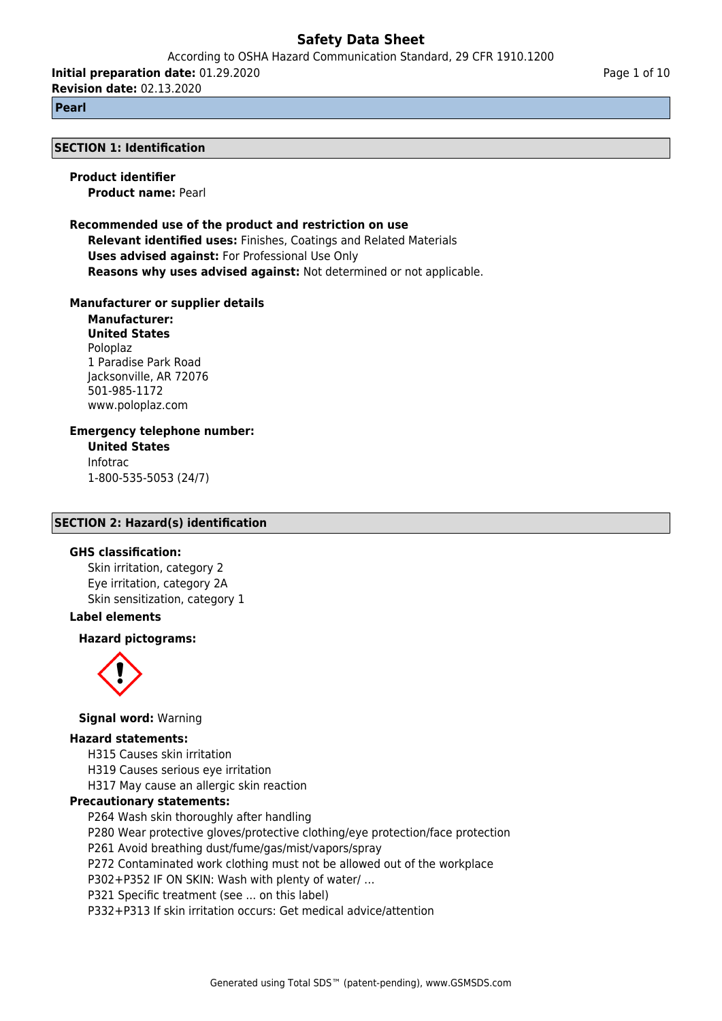According to OSHA Hazard Communication Standard, 29 CFR 1910.1200

**Initial preparation date:** 01.29.2020 **Revision date:** 02.13.2020

**Pearl**

#### **SECTION 1: Identification**

**Product identifier Product name:** Pearl

**Recommended use of the product and restriction on use Relevant identified uses:** Finishes, Coatings and Related Materials **Uses advised against:** For Professional Use Only **Reasons why uses advised against:** Not determined or not applicable.

**Manufacturer or supplier details**

**Manufacturer: United States** Poloplaz 1 Paradise Park Road Jacksonville, AR 72076 501-985-1172 www.poloplaz.com

**Emergency telephone number:**

**United States** Infotrac 1-800-535-5053 (24/7)

## **SECTION 2: Hazard(s) identification**

## **GHS classification:**

Skin irritation, category 2 Eye irritation, category 2A Skin sensitization, category 1

## **Label elements**

#### **Hazard pictograms:**



**Signal word:** Warning

#### **Hazard statements:**

H315 Causes skin irritation

H319 Causes serious eye irritation

H317 May cause an allergic skin reaction

## **Precautionary statements:**

P264 Wash skin thoroughly after handling

P280 Wear protective gloves/protective clothing/eye protection/face protection

P261 Avoid breathing dust/fume/gas/mist/vapors/spray

P272 Contaminated work clothing must not be allowed out of the workplace

P302+P352 IF ON SKIN: Wash with plenty of water/ …

P321 Specific treatment (see ... on this label)

P332+P313 If skin irritation occurs: Get medical advice/attention

Page 1 of 10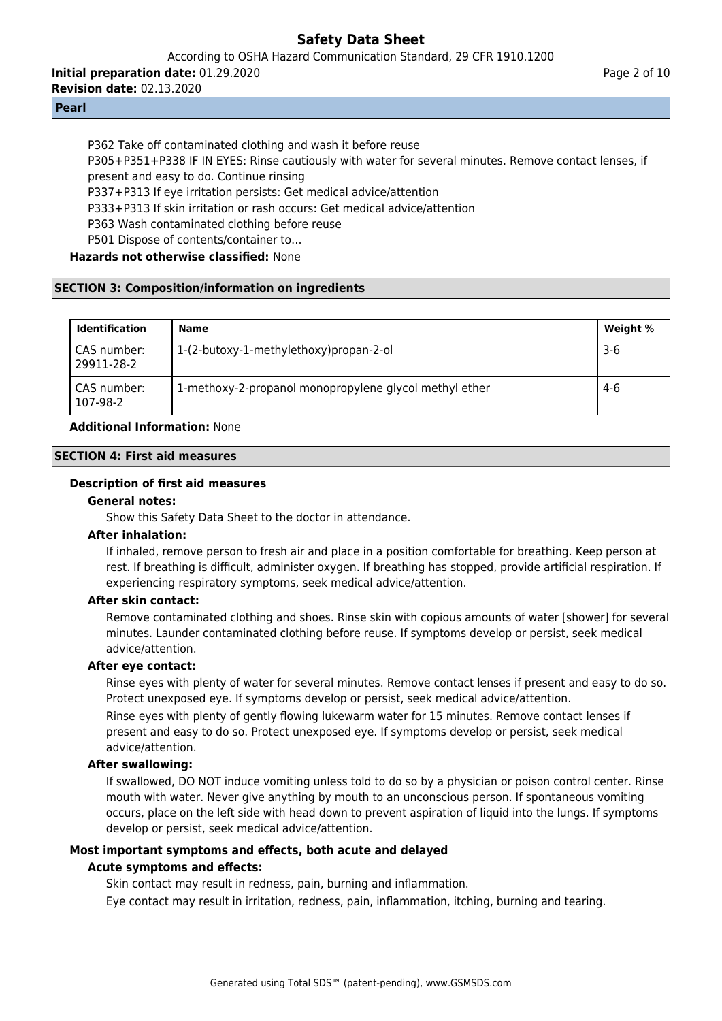According to OSHA Hazard Communication Standard, 29 CFR 1910.1200

**Initial preparation date:** 01.29.2020

**Revision date:** 02.13.2020

#### **Pearl**

P362 Take off contaminated clothing and wash it before reuse P305+P351+P338 IF IN EYES: Rinse cautiously with water for several minutes. Remove contact lenses, if present and easy to do. Continue rinsing P337+P313 If eye irritation persists: Get medical advice/attention P333+P313 If skin irritation or rash occurs: Get medical advice/attention P363 Wash contaminated clothing before reuse P501 Dispose of contents/container to…

## **Hazards not otherwise classified:** None

## **SECTION 3: Composition/information on ingredients**

| <b>Identification</b>     | Name                                                   | Weight % |
|---------------------------|--------------------------------------------------------|----------|
| CAS number:<br>29911-28-2 | 1-(2-butoxy-1-methylethoxy)propan-2-ol                 | $3-6$    |
| CAS number:<br>107-98-2   | 1-methoxy-2-propanol monopropylene glycol methyl ether | $4-6$    |

## **Additional Information:** None

### **SECTION 4: First aid measures**

### **Description of first aid measures**

#### **General notes:**

Show this Safety Data Sheet to the doctor in attendance.

#### **After inhalation:**

If inhaled, remove person to fresh air and place in a position comfortable for breathing. Keep person at rest. If breathing is difficult, administer oxygen. If breathing has stopped, provide artificial respiration. If experiencing respiratory symptoms, seek medical advice/attention.

## **After skin contact:**

Remove contaminated clothing and shoes. Rinse skin with copious amounts of water [shower] for several minutes. Launder contaminated clothing before reuse. If symptoms develop or persist, seek medical advice/attention.

## **After eye contact:**

Rinse eyes with plenty of water for several minutes. Remove contact lenses if present and easy to do so. Protect unexposed eye. If symptoms develop or persist, seek medical advice/attention. Rinse eyes with plenty of gently flowing lukewarm water for 15 minutes. Remove contact lenses if

present and easy to do so. Protect unexposed eye. If symptoms develop or persist, seek medical advice/attention.

## **After swallowing:**

If swallowed, DO NOT induce vomiting unless told to do so by a physician or poison control center. Rinse mouth with water. Never give anything by mouth to an unconscious person. If spontaneous vomiting occurs, place on the left side with head down to prevent aspiration of liquid into the lungs. If symptoms develop or persist, seek medical advice/attention.

## **Most important symptoms and effects, both acute and delayed**

## **Acute symptoms and effects:**

Skin contact may result in redness, pain, burning and inflammation.

Eye contact may result in irritation, redness, pain, inflammation, itching, burning and tearing.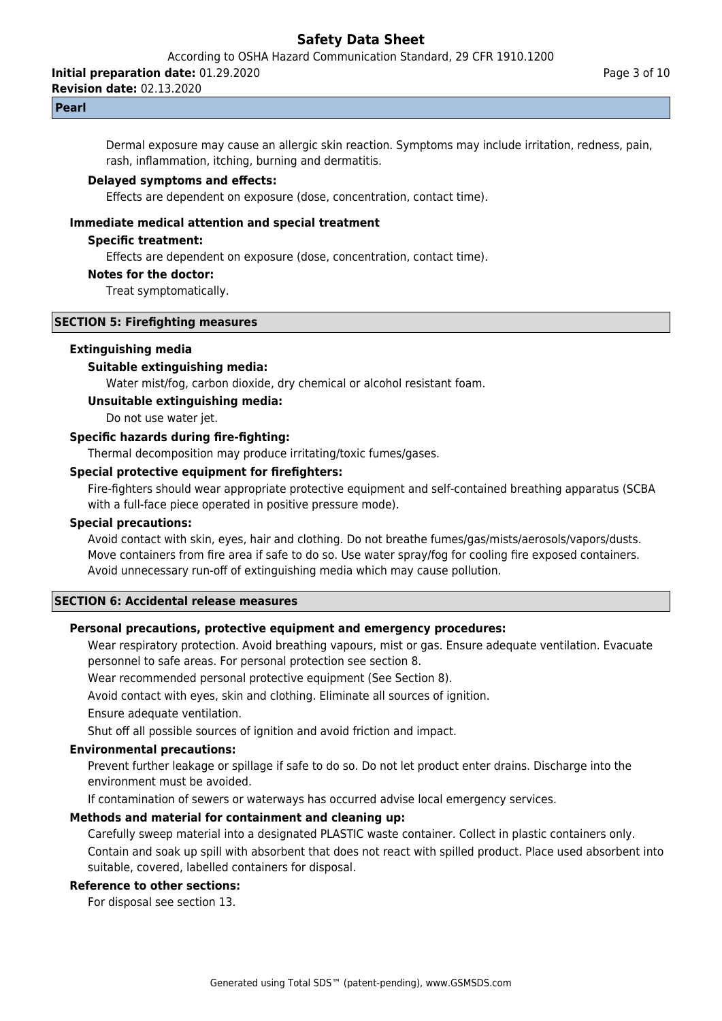According to OSHA Hazard Communication Standard, 29 CFR 1910.1200

**Initial preparation date:** 01.29.2020

**Revision date:** 02.13.2020

#### **Pearl**

Dermal exposure may cause an allergic skin reaction. Symptoms may include irritation, redness, pain, rash, inflammation, itching, burning and dermatitis.

#### **Delayed symptoms and effects:**

Effects are dependent on exposure (dose, concentration, contact time).

#### **Immediate medical attention and special treatment**

#### **Specific treatment:**

Effects are dependent on exposure (dose, concentration, contact time).

#### **Notes for the doctor:**

Treat symptomatically.

#### **SECTION 5: Firefighting measures**

#### **Extinguishing media**

## **Suitable extinguishing media:**

Water mist/fog, carbon dioxide, dry chemical or alcohol resistant foam.

#### **Unsuitable extinguishing media:**

Do not use water jet.

## **Specific hazards during fire-fighting:**

Thermal decomposition may produce irritating/toxic fumes/gases.

## **Special protective equipment for firefighters:**

Fire-fighters should wear appropriate protective equipment and self-contained breathing apparatus (SCBA with a full-face piece operated in positive pressure mode).

#### **Special precautions:**

Avoid contact with skin, eyes, hair and clothing. Do not breathe fumes/gas/mists/aerosols/vapors/dusts. Move containers from fire area if safe to do so. Use water spray/fog for cooling fire exposed containers. Avoid unnecessary run-off of extinguishing media which may cause pollution.

#### **SECTION 6: Accidental release measures**

#### **Personal precautions, protective equipment and emergency procedures:**

Wear respiratory protection. Avoid breathing vapours, mist or gas. Ensure adequate ventilation. Evacuate personnel to safe areas. For personal protection see section 8.

Wear recommended personal protective equipment (See Section 8).

Avoid contact with eyes, skin and clothing. Eliminate all sources of ignition.

Ensure adequate ventilation.

Shut off all possible sources of ignition and avoid friction and impact.

#### **Environmental precautions:**

Prevent further leakage or spillage if safe to do so. Do not let product enter drains. Discharge into the environment must be avoided.

If contamination of sewers or waterways has occurred advise local emergency services.

#### **Methods and material for containment and cleaning up:**

Carefully sweep material into a designated PLASTIC waste container. Collect in plastic containers only. Contain and soak up spill with absorbent that does not react with spilled product. Place used absorbent into suitable, covered, labelled containers for disposal.

## **Reference to other sections:**

For disposal see section 13.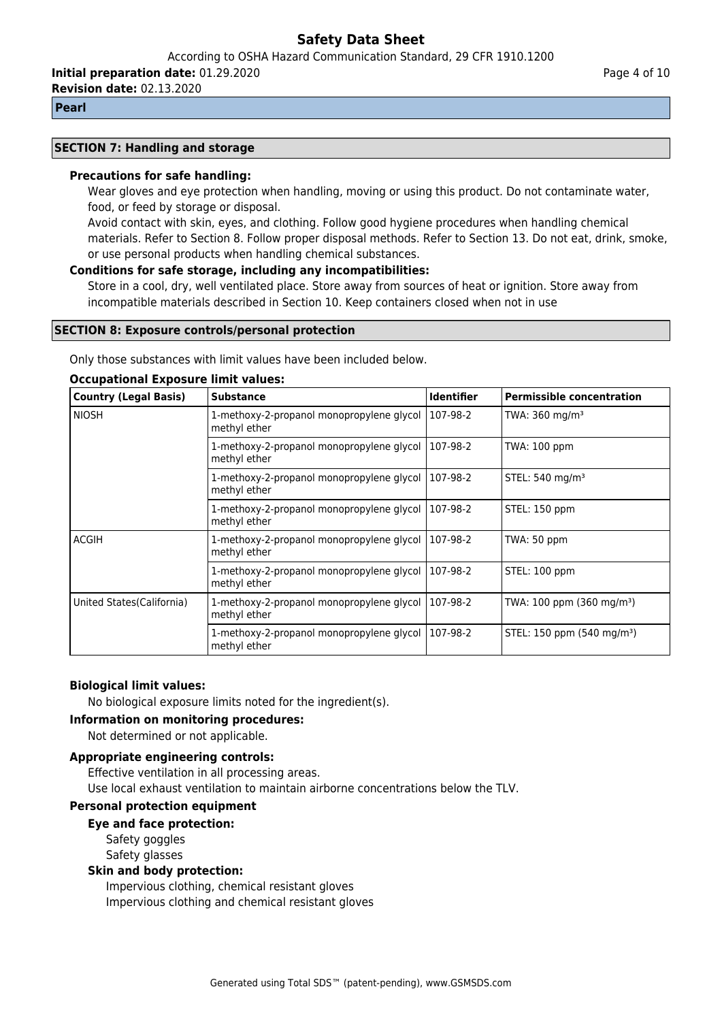According to OSHA Hazard Communication Standard, 29 CFR 1910.1200

**Initial preparation date:** 01.29.2020

**Revision date:** 02.13.2020

#### **Pearl**

#### **SECTION 7: Handling and storage**

#### **Precautions for safe handling:**

Wear gloves and eye protection when handling, moving or using this product. Do not contaminate water, food, or feed by storage or disposal.

Avoid contact with skin, eyes, and clothing. Follow good hygiene procedures when handling chemical materials. Refer to Section 8. Follow proper disposal methods. Refer to Section 13. Do not eat, drink, smoke, or use personal products when handling chemical substances.

#### **Conditions for safe storage, including any incompatibilities:**

Store in a cool, dry, well ventilated place. Store away from sources of heat or ignition. Store away from incompatible materials described in Section 10. Keep containers closed when not in use

#### **SECTION 8: Exposure controls/personal protection**

Only those substances with limit values have been included below.

#### **Occupational Exposure limit values:**

| <b>Country (Legal Basis)</b> | <b>Substance</b>                                          | <b>Identifier</b> | <b>Permissible concentration</b>       |
|------------------------------|-----------------------------------------------------------|-------------------|----------------------------------------|
| <b>NIOSH</b>                 | 1-methoxy-2-propanol monopropylene glycol<br>methyl ether | 107-98-2          | TWA: $360 \text{ mg/m}^3$              |
|                              | 1-methoxy-2-propanol monopropylene glycol<br>methyl ether | 107-98-2          | TWA: 100 ppm                           |
|                              | 1-methoxy-2-propanol monopropylene glycol<br>methyl ether | 107-98-2          | STEL: 540 mg/m <sup>3</sup>            |
|                              | 1-methoxy-2-propanol monopropylene glycol<br>methyl ether | 107-98-2          | STEL: 150 ppm                          |
| <b>ACGIH</b>                 | 1-methoxy-2-propanol monopropylene glycol<br>methyl ether | 107-98-2          | TWA: 50 ppm                            |
|                              | 1-methoxy-2-propanol monopropylene glycol<br>methyl ether | 107-98-2          | STEL: 100 ppm                          |
| United States(California)    | 1-methoxy-2-propanol monopropylene glycol<br>methyl ether | 107-98-2          | TWA: 100 ppm (360 mg/m <sup>3</sup> )  |
|                              | 1-methoxy-2-propanol monopropylene glycol<br>methyl ether | 107-98-2          | STEL: 150 ppm (540 mg/m <sup>3</sup> ) |

#### **Biological limit values:**

No biological exposure limits noted for the ingredient(s).

**Information on monitoring procedures:**

Not determined or not applicable.

# **Appropriate engineering controls:**

Effective ventilation in all processing areas. Use local exhaust ventilation to maintain airborne concentrations below the TLV.

## **Personal protection equipment**

**Eye and face protection:** Safety goggles

Safety glasses

#### **Skin and body protection:**

Impervious clothing, chemical resistant gloves Impervious clothing and chemical resistant gloves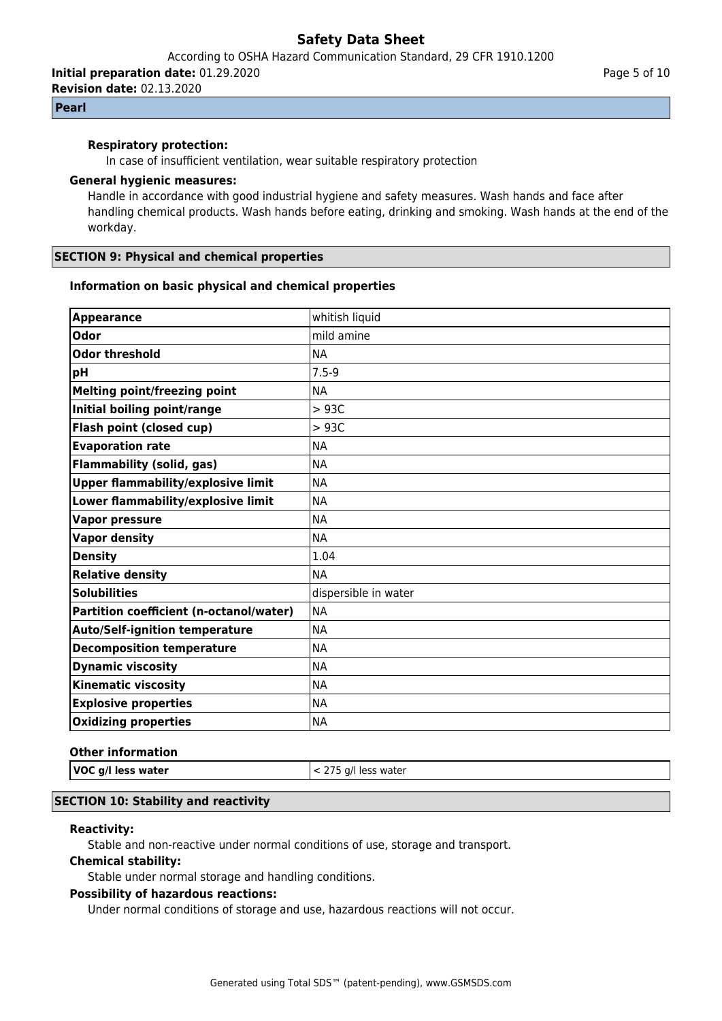According to OSHA Hazard Communication Standard, 29 CFR 1910.1200

**Initial preparation date:** 01.29.2020

**Revision date:** 02.13.2020

## **Pearl**

## **Respiratory protection:**

In case of insufficient ventilation, wear suitable respiratory protection

#### **General hygienic measures:**

Handle in accordance with good industrial hygiene and safety measures. Wash hands and face after handling chemical products. Wash hands before eating, drinking and smoking. Wash hands at the end of the workday.

### **SECTION 9: Physical and chemical properties**

### **Information on basic physical and chemical properties**

| <b>Appearance</b>                         | whitish liquid       |
|-------------------------------------------|----------------------|
| <b>Odor</b>                               | mild amine           |
| <b>Odor threshold</b>                     | <b>NA</b>            |
| pH                                        | $7.5 - 9$            |
| <b>Melting point/freezing point</b>       | <b>NA</b>            |
| Initial boiling point/range               | >93C                 |
| Flash point (closed cup)                  | >93C                 |
| <b>Evaporation rate</b>                   | <b>NA</b>            |
| <b>Flammability (solid, gas)</b>          | <b>NA</b>            |
| <b>Upper flammability/explosive limit</b> | <b>NA</b>            |
| Lower flammability/explosive limit        | <b>NA</b>            |
| <b>Vapor pressure</b>                     | <b>NA</b>            |
| <b>Vapor density</b>                      | <b>NA</b>            |
| <b>Density</b>                            | 1.04                 |
| <b>Relative density</b>                   | <b>NA</b>            |
| <b>Solubilities</b>                       | dispersible in water |
| Partition coefficient (n-octanol/water)   | <b>NA</b>            |
| <b>Auto/Self-ignition temperature</b>     | <b>NA</b>            |
| <b>Decomposition temperature</b>          | <b>NA</b>            |
| <b>Dynamic viscosity</b>                  | <b>NA</b>            |
| <b>Kinematic viscosity</b>                | <b>NA</b>            |
| <b>Explosive properties</b>               | <b>NA</b>            |
| <b>Oxidizing properties</b>               | <b>NA</b>            |

#### **Other information**

|  | /OC g/l less wa |  |
|--|-----------------|--|

**VOC g/l less water** < 275 g/l less water

## **SECTION 10: Stability and reactivity**

#### **Reactivity:**

Stable and non-reactive under normal conditions of use, storage and transport.

#### **Chemical stability:**

Stable under normal storage and handling conditions.

#### **Possibility of hazardous reactions:**

Under normal conditions of storage and use, hazardous reactions will not occur.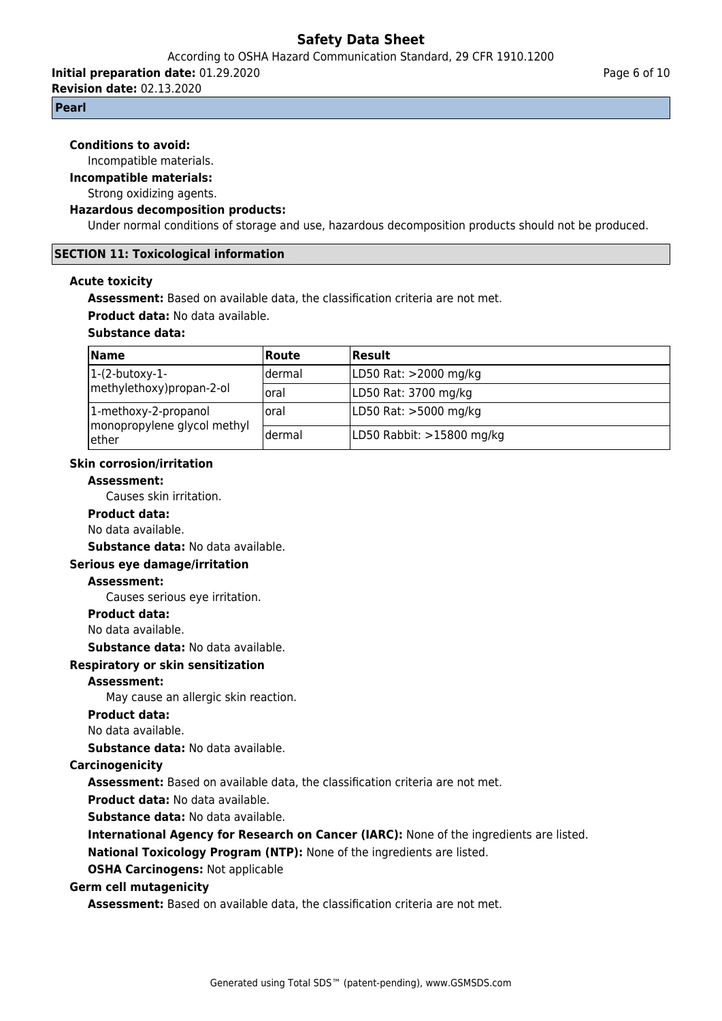According to OSHA Hazard Communication Standard, 29 CFR 1910.1200

**Initial preparation date:** 01.29.2020

**Revision date:** 02.13.2020

#### **Pearl**

#### **Conditions to avoid:**

Incompatible materials.

**Incompatible materials:**

#### Strong oxidizing agents.

#### **Hazardous decomposition products:**

Under normal conditions of storage and use, hazardous decomposition products should not be produced.

#### **SECTION 11: Toxicological information**

#### **Acute toxicity**

**Assessment:** Based on available data, the classification criteria are not met.

**Product data:** No data available.

## **Substance data:**

| <b>Name</b>                                         | <b>Route</b> | Result                    |
|-----------------------------------------------------|--------------|---------------------------|
| $ 1-(2-butoxy-1-$                                   | Idermal      | LD50 Rat: >2000 mg/kg     |
| methylethoxy) propan-2-ol                           | Ioral        | LD50 Rat: 3700 mg/kg      |
| 1-methoxy-2-propanol<br>monopropylene glycol methyl | Ioral        | LD50 Rat: >5000 mg/kg     |
| ether                                               | Idermal      | LD50 Rabbit: >15800 mg/kg |

### **Skin corrosion/irritation**

#### **Assessment:**

Causes skin irritation.

#### **Product data:**

No data available.

**Substance data:** No data available.

#### **Serious eye damage/irritation**

#### **Assessment:**

Causes serious eye irritation.

#### **Product data:**

No data available.

**Substance data:** No data available.

#### **Respiratory or skin sensitization**

#### **Assessment:**

May cause an allergic skin reaction.

#### **Product data:**

No data available.

**Substance data:** No data available.

#### **Carcinogenicity**

**Assessment:** Based on available data, the classification criteria are not met.

**Product data:** No data available.

**Substance data:** No data available.

**International Agency for Research on Cancer (IARC):** None of the ingredients are listed. **National Toxicology Program (NTP):** None of the ingredients are listed.

**OSHA Carcinogens:** Not applicable

#### **Germ cell mutagenicity**

**Assessment:** Based on available data, the classification criteria are not met.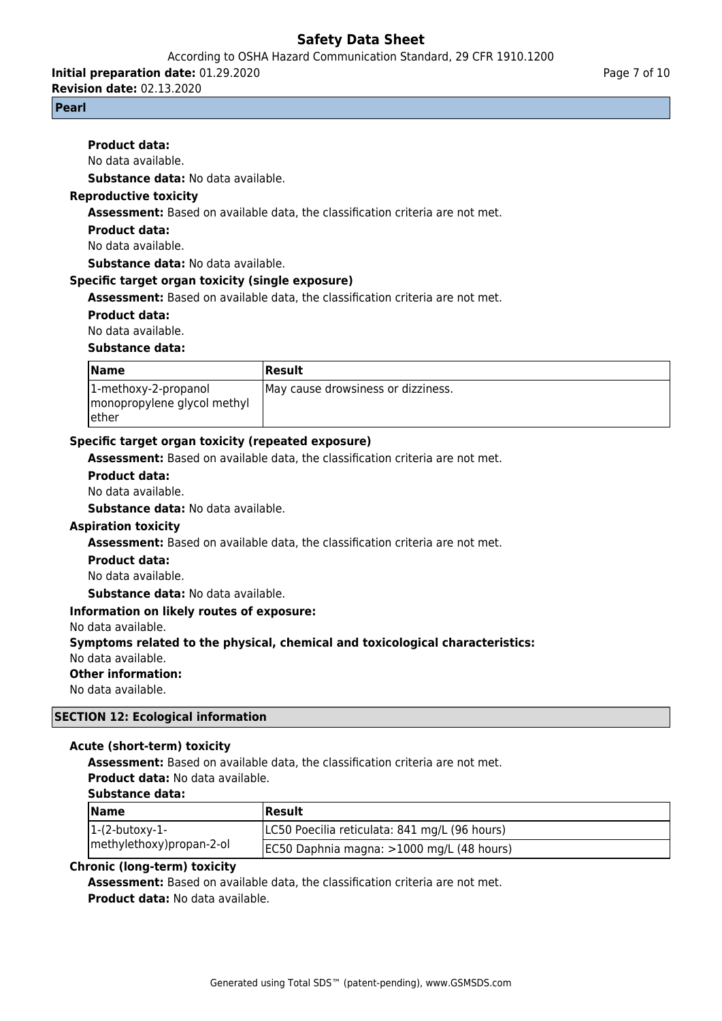## According to OSHA Hazard Communication Standard, 29 CFR 1910.1200

**Initial preparation date:** 01.29.2020

**Revision date:** 02.13.2020

**Product data:** No data available.

#### **Pearl**

Page 7 of 10

**Substance data:** No data available.

## **Reproductive toxicity**

**Assessment:** Based on available data, the classification criteria are not met.

### **Product data:**

No data available.

**Substance data:** No data available.

### **Specific target organ toxicity (single exposure)**

**Assessment:** Based on available data, the classification criteria are not met.

### **Product data:**

No data available.

### **Substance data:**

| <b>Name</b>                                                   | Result                             |
|---------------------------------------------------------------|------------------------------------|
| 1-methoxy-2-propanol<br>monopropylene glycol methyl<br>lether | May cause drowsiness or dizziness. |

## **Specific target organ toxicity (repeated exposure)**

**Assessment:** Based on available data, the classification criteria are not met.

#### **Product data:**

No data available.

**Substance data:** No data available.

## **Aspiration toxicity**

**Assessment:** Based on available data, the classification criteria are not met.

#### **Product data:**

No data available.

**Substance data:** No data available.

#### **Information on likely routes of exposure:**

No data available.

**Symptoms related to the physical, chemical and toxicological characteristics:**

No data available.

## **Other information:**

No data available.

## **SECTION 12: Ecological information**

#### **Acute (short-term) toxicity**

**Assessment:** Based on available data, the classification criteria are not met. **Product data:** No data available.

#### **Substance data:**

| <b>Name</b>              | Result                                        |
|--------------------------|-----------------------------------------------|
| $ 1-(2-butoxy-1-$        | LC50 Poecilia reticulata: 841 mg/L (96 hours) |
| methylethoxy)propan-2-ol | EC50 Daphnia magna: >1000 mg/L (48 hours)     |

#### **Chronic (long-term) toxicity**

**Assessment:** Based on available data, the classification criteria are not met. **Product data:** No data available.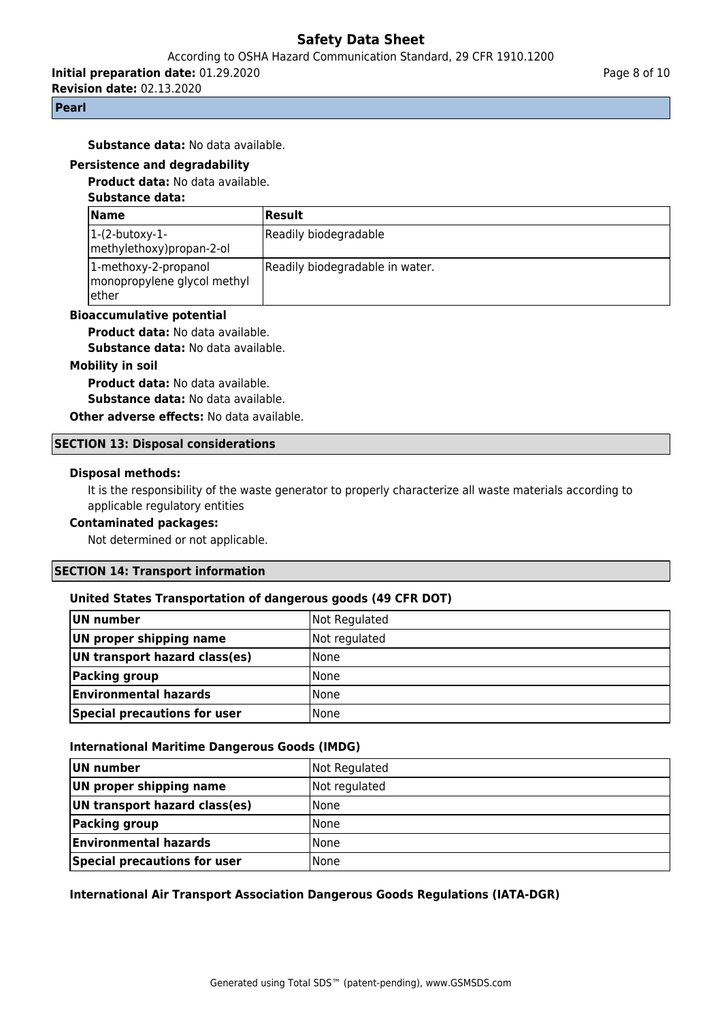## According to OSHA Hazard Communication Standard, 29 CFR 1910.1200

**Initial preparation date:** 01.29.2020

**Revision date:** 02.13.2020

## **Pearl**

**Substance data:** No data available.

## **Persistence and degradability**

**Product data:** No data available.

#### **Substance data:**

| <b>Name</b>                                                   | Result                          |
|---------------------------------------------------------------|---------------------------------|
| 1-(2-butoxy-1-<br>methylethoxy) propan-2-ol                   | Readily biodegradable           |
| 1-methoxy-2-propanol<br>monopropylene glycol methyl<br>lether | Readily biodegradable in water. |

#### **Bioaccumulative potential**

**Product data:** No data available.

**Substance data:** No data available.

# **Mobility in soil**

**Product data:** No data available.

**Substance data:** No data available.

**Other adverse effects: No data available.** 

#### **SECTION 13: Disposal considerations**

#### **Disposal methods:**

It is the responsibility of the waste generator to properly characterize all waste materials according to applicable regulatory entities

## **Contaminated packages:**

Not determined or not applicable.

#### **SECTION 14: Transport information**

#### **United States Transportation of dangerous goods (49 CFR DOT)**

| UN number                     | Not Regulated |
|-------------------------------|---------------|
| UN proper shipping name       | Not regulated |
| UN transport hazard class(es) | <b>None</b>   |
| Packing group                 | <b>None</b>   |
| <b>Environmental hazards</b>  | <b>None</b>   |
| Special precautions for user  | None          |

#### **International Maritime Dangerous Goods (IMDG)**

| UN number                     | Not Regulated |
|-------------------------------|---------------|
| UN proper shipping name       | Not regulated |
| UN transport hazard class(es) | <b>None</b>   |
| <b>Packing group</b>          | None          |
| <b>Environmental hazards</b>  | <b>None</b>   |
| Special precautions for user  | <b>None</b>   |

#### **International Air Transport Association Dangerous Goods Regulations (IATA-DGR)**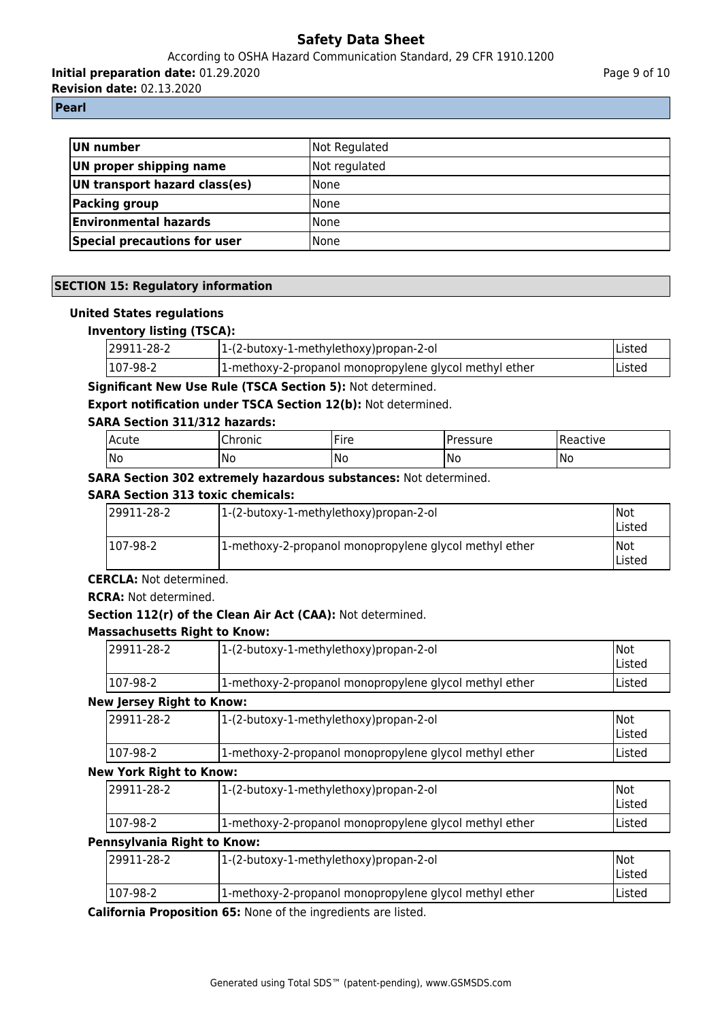## According to OSHA Hazard Communication Standard, 29 CFR 1910.1200

**Initial preparation date:** 01.29.2020

**Revision date:** 02.13.2020

**Pearl**

| <b>UN number</b>                    | Not Regulated |
|-------------------------------------|---------------|
| UN proper shipping name             | Not regulated |
| UN transport hazard class(es)       | None          |
| <b>Packing group</b>                | <b>None</b>   |
| <b>Environmental hazards</b>        | <b>None</b>   |
| <b>Special precautions for user</b> | <b>None</b>   |

## **SECTION 15: Regulatory information**

## **United States regulations**

## **Inventory listing (TSCA):**

| 29911-28-2 | $ 1-(2-butoxy-1-methylethoxy)$ propan-2-ol              | Listed |
|------------|---------------------------------------------------------|--------|
| 107-98-2   | [1-methoxy-2-propanol monopropylene glycol methyl ether | Listed |

## **Significant New Use Rule (TSCA Section 5):** Not determined.

**Export notification under TSCA Section 12(b):** Not determined.

## **SARA Section 311/312 hazards:**

| l Acute | $\sim$<br>Chronic | $-$<br>Fire | <sup>o</sup> ressure | Reactive |
|---------|-------------------|-------------|----------------------|----------|
| No      | 'No               | No          | No                   | INo      |

## **SARA Section 302 extremely hazardous substances:** Not determined.

## **SARA Section 313 toxic chemicals:**

| 129911-28-2 | 1-(2-butoxy-1-methylethoxy)propan-2-ol                 | Not<br>lListed         |
|-------------|--------------------------------------------------------|------------------------|
| 1107-98-2   | 1-methoxy-2-propanol monopropylene glycol methyl ether | INot<br><b>IListed</b> |

#### **CERCLA:** Not determined.

#### **RCRA:** Not determined.

## **Section 112(r) of the Clean Air Act (CAA):** Not determined.

#### **Massachusetts Right to Know:**

| 129911-28-2 | 1-(2-butoxy-1-methylethoxy)propan-2-ol                 | Not<br><b>Listed</b> |
|-------------|--------------------------------------------------------|----------------------|
| 107-98-2    | 1-methoxy-2-propanol monopropylene glycol methyl ether | Listed               |

#### **New Jersey Right to Know:**

| 29911-28-2   | 1-(2-butoxy-1-methylethoxy) propan-2-ol                | Not<br>lListed |
|--------------|--------------------------------------------------------|----------------|
| $ 107-98-2 $ | 1-methoxy-2-propanol monopropylene glycol methyl ether | Listed         |

#### **New York Right to Know:**

| 29911-28-2 | 1-(2-butoxy-1-methylethoxy)propan-2-ol                 | Not<br>Listed |
|------------|--------------------------------------------------------|---------------|
| 107-98-2   | 1-methoxy-2-propanol monopropylene glycol methyl ether | Listed        |

## **Pennsylvania Right to Know:**

| 129911-28-2 | 1-(2-butoxy-1-methylethoxy)propan-2-ol                 | Not<br>lListed |
|-------------|--------------------------------------------------------|----------------|
| 107-98-2    | 1-methoxy-2-propanol monopropylene glycol methyl ether | Listed         |

**California Proposition 65:** None of the ingredients are listed.